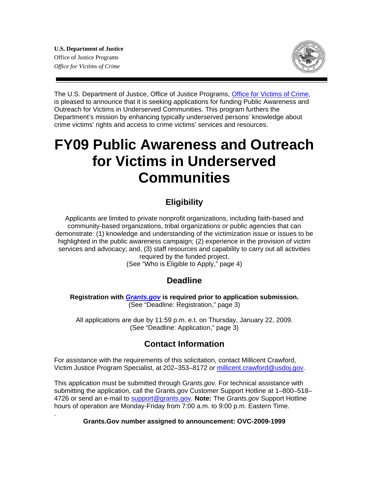.



The U.S. Department of Justice, Office of Justice Programs[, Office for Victims of Crime,](www.ovc.gov) is pleased to announce that it is seeking applications for funding Public Awareness and Outreach for Victims in Underserved Communities. This program furthers the Department's mission by enhancing typically underserved persons' knowledge about crime victims' rights and access to crime victims' services and resources.

# **FY09 Public Awareness and Outreach for Victims in Underserved Communities**

# **Eligibility**

Applicants are limited to private nonprofit organizations, including faith-based and community-based organizations, tribal organizations or public agencies that can demonstrate: (1) knowledge and understanding of the victimization issue or issues to be highlighted in the public awareness campaign; (2) experience in the provision of victim services and advocacy; and, (3) staff resources and capability to carry out all activities required by the funded project.

(See "Who is Eligible to Apply," page 4)

## **Deadline**

**Registration with** *[Grants.gov](www.grants.gov)* **is required prior to application submission.**  (See "Deadline: Registration," page 3)

All applications are due by 11:59 p.m. e.t. on Thursday, January 22, 2009. (See "Deadline: Application," page 3)

# **Contact Information**

For assistance with the requirements of this solicitation, contact Millicent Crawford, Victim Justice Program Specialist, at 202-353-8172 or millicent.crawford@usdoj.gov.

This application must be submitted through G*rants.gov.* For technical assistance with submitting the application, call the Grants.gov Customer Support Hotline at 1–800–518– 4726 or send an e-mail to support@grants.gov. **Note:** The *Grants.gov* Support Hotline hours of operation are Monday-Friday from 7:00 a.m. to 9:00 p.m. Eastern Time.

#### **Grants.Gov number assigned to announcement: OVC-2009-1999**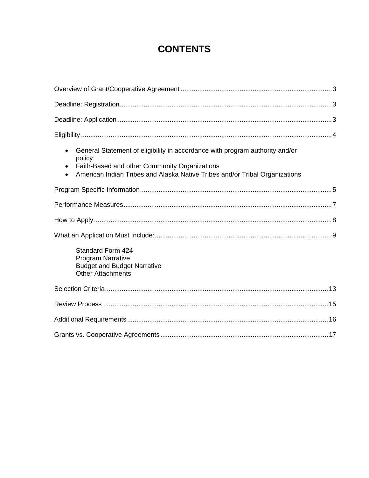# **CONTENTS**

| General Statement of eligibility in accordance with program authority and/or<br>$\bullet$<br>policy<br>Faith-Based and other Community Organizations<br>American Indian Tribes and Alaska Native Tribes and/or Tribal Organizations |  |
|-------------------------------------------------------------------------------------------------------------------------------------------------------------------------------------------------------------------------------------|--|
|                                                                                                                                                                                                                                     |  |
|                                                                                                                                                                                                                                     |  |
|                                                                                                                                                                                                                                     |  |
|                                                                                                                                                                                                                                     |  |
| Standard Form 424<br><b>Program Narrative</b><br><b>Budget and Budget Narrative</b><br><b>Other Attachments</b>                                                                                                                     |  |
|                                                                                                                                                                                                                                     |  |
|                                                                                                                                                                                                                                     |  |
|                                                                                                                                                                                                                                     |  |
|                                                                                                                                                                                                                                     |  |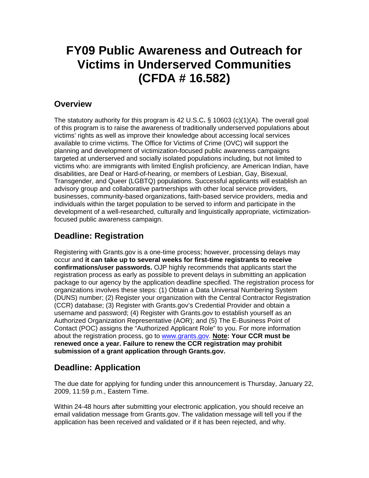# **FY09 Public Awareness and Outreach for Victims in Underserved Communities (CFDA # 16.582)**

## **Overview**

The statutory authority for this program is 42 U.S.C**.** § 10603 (c)(1)(A). The overall goal of this program is to raise the awareness of traditionally underserved populations about victims' rights as well as improve their knowledge about accessing local services available to crime victims. The Office for Victims of Crime (OVC) will support the planning and development of victimization-focused public awareness campaigns targeted at underserved and socially isolated populations including, but not limited to victims who: are immigrants with limited English proficiency, are American Indian, have disabilities, are Deaf or Hard-of-hearing, or members of Lesbian, Gay, Bisexual, Transgender, and Queer (LGBTQ) populations. Successful applicants will establish an advisory group and collaborative partnerships with other local service providers, businesses, community-based organizations, faith-based service providers, media and individuals within the target population to be served to inform and participate in the development of a well-researched, culturally and linguistically appropriate, victimizationfocused public awareness campaign.

# **Deadline: Registration**

Registering with Grants.gov is a one-time process; however, processing delays may occur and **it can take up to several weeks for first-time registrants to receive confirmations/user passwords.** OJP highly recommends that applicants start the registration process as early as possible to prevent delays in submitting an application package to our agency by the application deadline specified. The registration process for organizations involves these steps: (1) Obtain a Data Universal Numbering System (DUNS) number; (2) Register your organization with the Central Contractor Registration (CCR) database; (3) Register with Grants.gov's Credential Provider and obtain a username and password; (4) Register with Grants.gov to establish yourself as an Authorized Organization Representative (AOR); and (5) The E-Business Point of Contact (POC) assigns the "Authorized Applicant Role" to you. For more information about the registration process, go to www.grants.gov. **Note: Your CCR must be renewed once a year. Failure to renew the CCR registration may prohibit submission of a grant application through Grants.gov.**

# **Deadline: Application**

The due date for applying for funding under this announcement is Thursday, January 22, 2009, 11:59 p.m., Eastern Time.

Within 24-48 hours after submitting your electronic application, you should receive an email validation message from Grants.gov. The validation message will tell you if the application has been received and validated or if it has been rejected, and why.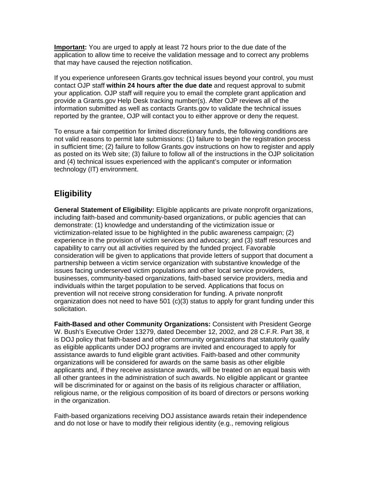**Important:** You are urged to apply at least 72 hours prior to the due date of the application to allow time to receive the validation message and to correct any problems that may have caused the rejection notification.

If you experience unforeseen Grants.gov technical issues beyond your control, you must contact OJP staff **within 24 hours after the due date** and request approval to submit your application. OJP staff will require you to email the complete grant application and provide a Grants.gov Help Desk tracking number(s). After OJP reviews all of the information submitted as well as contacts Grants.gov to validate the technical issues reported by the grantee, OJP will contact you to either approve or deny the request.

To ensure a fair competition for limited discretionary funds, the following conditions are not valid reasons to permit late submissions: (1) failure to begin the registration process in sufficient time; (2) failure to follow Grants.gov instructions on how to register and apply as posted on its Web site; (3) failure to follow all of the instructions in the OJP solicitation and (4) technical issues experienced with the applicant's computer or information technology (IT) environment.

# **Eligibility**

**General Statement of Eligibility:** Eligible applicants are private nonprofit organizations, including faith-based and community-based organizations, or public agencies that can demonstrate: (1) knowledge and understanding of the victimization issue or victimization-related issue to be highlighted in the public awareness campaign; (2) experience in the provision of victim services and advocacy; and (3) staff resources and capability to carry out all activities required by the funded project. Favorable consideration will be given to applications that provide letters of support that document a partnership between a victim service organization with substantive knowledge of the issues facing underserved victim populations and other local service providers, businesses, community-based organizations, faith-based service providers, media and individuals within the target population to be served. Applications that focus on prevention will not receive strong consideration for funding. A private nonprofit organization does not need to have 501 (c)(3) status to apply for grant funding under this solicitation.

**Faith-Based and other Community Organizations:** Consistent with President George W. Bush's Executive Order 13279, dated December 12, 2002, and 28 C.F.R. Part 38, it is DOJ policy that faith-based and other community organizations that statutorily qualify as eligible applicants under DOJ programs are invited and encouraged to apply for assistance awards to fund eligible grant activities. Faith-based and other community organizations will be considered for awards on the same basis as other eligible applicants and, if they receive assistance awards, will be treated on an equal basis with all other grantees in the administration of such awards. No eligible applicant or grantee will be discriminated for or against on the basis of its religious character or affiliation, religious name, or the religious composition of its board of directors or persons working in the organization.

Faith-based organizations receiving DOJ assistance awards retain their independence and do not lose or have to modify their religious identity (e.g., removing religious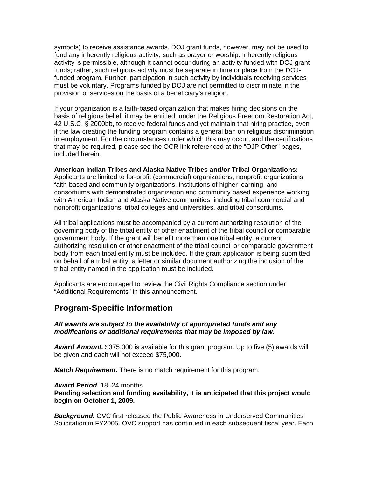symbols) to receive assistance awards. DOJ grant funds, however, may not be used to fund any inherently religious activity, such as prayer or worship. Inherently religious activity is permissible, although it cannot occur during an activity funded with DOJ grant funds; rather, such religious activity must be separate in time or place from the DOJfunded program. Further, participation in such activity by individuals receiving services must be voluntary. Programs funded by DOJ are not permitted to discriminate in the provision of services on the basis of a beneficiary's religion.

If your organization is a faith-based organization that makes hiring decisions on the basis of religious belief, it may be entitled, under the Religious Freedom Restoration Act, 42 U.S.C. § 2000bb, to receive federal funds and yet maintain that hiring practice, even if the law creating the funding program contains a general ban on religious discrimination in employment. For the circumstances under which this may occur, and the certifications that may be required, please see the OCR link referenced at the "OJP Other" pages, included herein.

**American Indian Tribes and Alaska Native Tribes and/or Tribal Organizations:**  Applicants are limited to for-profit (commercial) organizations, nonprofit organizations, faith-based and community organizations, institutions of higher learning, and consortiums with demonstrated organization and community based experience working with American Indian and Alaska Native communities, including tribal commercial and nonprofit organizations, tribal colleges and universities, and tribal consortiums.

All tribal applications must be accompanied by a current authorizing resolution of the governing body of the tribal entity or other enactment of the tribal council or comparable government body. If the grant will benefit more than one tribal entity, a current authorizing resolution or other enactment of the tribal council or comparable government body from each tribal entity must be included. If the grant application is being submitted on behalf of a tribal entity, a letter or similar document authorizing the inclusion of the tribal entity named in the application must be included.

Applicants are encouraged to review the Civil Rights Compliance section under "Additional Requirements" in this announcement.

### **Program-Specific Information**

*All awards are subject to the availability of appropriated funds and any modifications or additional requirements that may be imposed by law.* 

*Award Amount.* \$375,000 is available for this grant program. Up to five (5) awards will be given and each will not exceed \$75,000.

*Match Requirement.* There is no match requirement for this program.

*Award Period.* 18–24 months

**Pending selection and funding availability, it is anticipated that this project would begin on October 1, 2009.**

*Background.* OVC first released the Public Awareness in Underserved Communities Solicitation in FY2005. OVC support has continued in each subsequent fiscal year. Each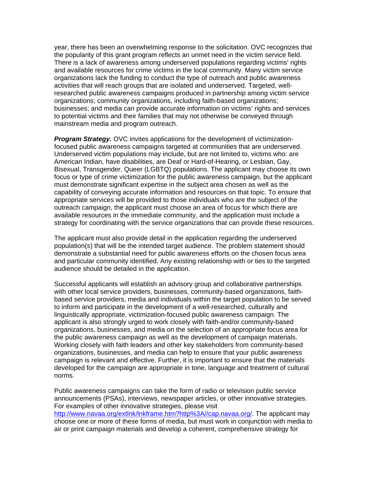year, there has been an overwhelming response to the solicitation. OVC recognizes that the popularity of this grant program reflects an unmet need in the victim service field. There is a lack of awareness among underserved populations regarding victims' rights and available resources for crime victims in the local community. Many victim service organizations lack the funding to conduct the type of outreach and public awareness activities that will reach groups that are isolated and underserved. Targeted, wellresearched public awareness campaigns produced in partnership among victim service organizations; community organizations, including faith-based organizations; businesses; and media can provide accurate information on victims' rights and services to potential victims and their families that may not otherwise be conveyed through mainstream media and program outreach.

*Program Strategy.* OVC invites applications for the development of victimizationfocused public awareness campaigns targeted at communities that are underserved. Underserved victim populations may include, but are not limited to, victims who: are American Indian, have disabilities, are Deaf or Hard-of-Hearing, or Lesbian, Gay, Bisexual, Transgender, Queer (LGBTQ) populations. The applicant may choose its own focus or type of crime victimization for the public awareness campaign, but the applicant must demonstrate significant expertise in the subject area chosen as well as the capability of conveying accurate information and resources on that topic. To ensure that appropriate services will be provided to those individuals who are the subject of the outreach campaign, the applicant must choose an area of focus for which there are available resources in the immediate community, and the application must include a strategy for coordinating with the service organizations that can provide these resources.

The applicant must also provide detail in the application regarding the underserved population(s) that will be the intended target audience. The problem statement should demonstrate a substantial need for public awareness efforts on the chosen focus area and particular community identified. Any existing relationship with or ties to the targeted audience should be detailed in the application.

Successful applicants will establish an advisory group and collaborative partnerships with other local service providers, businesses, community-based organizations, faithbased service providers, media and individuals within the target population to be served to inform and participate in the development of a well-researched, culturally and linguistically appropriate, victimization-focused public awareness campaign. The applicant is also strongly urged to work closely with faith-and/or community-based organizations, businesses, and media on the selection of an appropriate focus area for the public awareness campaign as well as the development of campaign materials. Working closely with faith leaders and other key stakeholders from community-based organizations, businesses, and media can help to ensure that your public awareness campaign is relevant and effective. Further, it is important to ensure that the materials developed for the campaign are appropriate in tone, language and treatment of cultural norms.

Public awareness campaigns can take the form of radio or television public service announcements (PSAs), interviews, newspaper articles, or other innovative strategies. For examples of other innovative strategies, please visit http://www.navaa.org/extlnk/lnkframe.htm?http%3A//cap.navaa.org/. The applicant may choose one or more of these forms of media, but must work in conjunction with media to air or print campaign materials and develop a coherent, comprehensive strategy for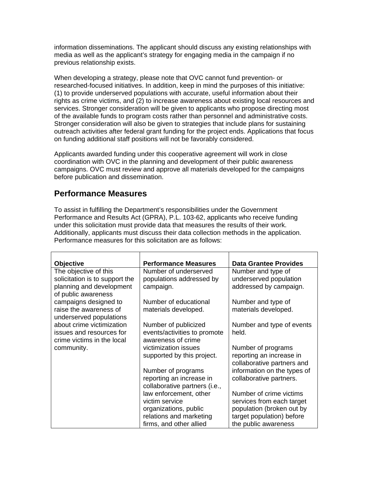information disseminations. The applicant should discuss any existing relationships with media as well as the applicant's strategy for engaging media in the campaign if no previous relationship exists.

When developing a strategy, please note that OVC cannot fund prevention- or researched-focused initiatives. In addition, keep in mind the purposes of this initiative: (1) to provide underserved populations with accurate, useful information about their rights as crime victims, and (2) to increase awareness about existing local resources and services. Stronger consideration will be given to applicants who propose directing most of the available funds to program costs rather than personnel and administrative costs. Stronger consideration will also be given to strategies that include plans for sustaining outreach activities after federal grant funding for the project ends. Applications that focus on funding additional staff positions will not be favorably considered.

Applicants awarded funding under this cooperative agreement will work in close coordination with OVC in the planning and development of their public awareness campaigns. OVC must review and approve all materials developed for the campaigns before publication and dissemination.

## **Performance Measures**

To assist in fulfilling the Department's responsibilities under the Government Performance and Results Act (GPRA), P.L. 103-62, applicants who receive funding under this solicitation must provide data that measures the results of their work. Additionally, applicants must discuss their data collection methods in the application. Performance measures for this solicitation are as follows:

| <b>Objective</b>               | <b>Performance Measures</b>   | <b>Data Grantee Provides</b> |
|--------------------------------|-------------------------------|------------------------------|
| The objective of this          | Number of underserved         | Number and type of           |
| solicitation is to support the | populations addressed by      | underserved population       |
| planning and development       | campaign.                     | addressed by campaign.       |
| of public awareness            |                               |                              |
| campaigns designed to          | Number of educational         | Number and type of           |
| raise the awareness of         | materials developed.          | materials developed.         |
| underserved populations        |                               |                              |
| about crime victimization      | Number of publicized          | Number and type of events    |
| issues and resources for       | events/activities to promote  | held.                        |
| crime victims in the local     | awareness of crime            |                              |
| community.                     | victimization issues          | Number of programs           |
|                                | supported by this project.    | reporting an increase in     |
|                                |                               | collaborative partners and   |
|                                | Number of programs            | information on the types of  |
|                                | reporting an increase in      | collaborative partners.      |
|                                | collaborative partners (i.e., |                              |
|                                | law enforcement, other        | Number of crime victims      |
|                                | victim service                | services from each target    |
|                                | organizations, public         | population (broken out by    |
|                                | relations and marketing       | target population) before    |
|                                | firms, and other allied       | the public awareness         |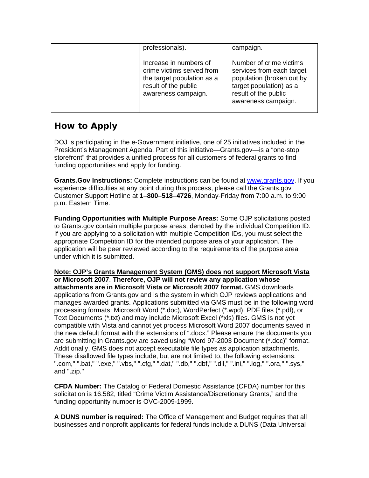| professionals).                                                                                                                  | campaign.                                                                                                                                                   |
|----------------------------------------------------------------------------------------------------------------------------------|-------------------------------------------------------------------------------------------------------------------------------------------------------------|
| Increase in numbers of<br>crime victims served from<br>the target population as a<br>result of the public<br>awareness campaign. | Number of crime victims<br>services from each target<br>population (broken out by<br>target population) as a<br>result of the public<br>awareness campaign. |

# **How to Apply**

DOJ is participating in the e-Government initiative, one of 25 initiatives included in the President's Management Agenda. Part of this initiative—Grants.gov—is a "one-stop storefront" that provides a unified process for all customers of federal grants to find funding opportunities and apply for funding.

**Grants.Gov Instructions:** Complete instructions can be found at www.grants.gov. If you experience difficulties at any point during this process, please call the Grants.gov Customer Support Hotline at **1–800–518–4726**, Monday-Friday from 7:00 a.m. to 9:00 p.m. Eastern Time.

**Funding Opportunities with Multiple Purpose Areas:** Some OJP solicitations posted to Grants.gov contain multiple purpose areas, denoted by the individual Competition ID. If you are applying to a solicitation with multiple Competition IDs, you must select the appropriate Competition ID for the intended purpose area of your application. The application will be peer reviewed according to the requirements of the purpose area under which it is submitted.

**Note: OJP's Grants Management System (GMS) does not support Microsoft Vista or Microsoft 2007**. **Therefore, OJP will not review any application whose attachments are in Microsoft Vista or Microsoft 2007 format.** GMS downloads applications from Grants.gov and is the system in which OJP reviews applications and manages awarded grants. Applications submitted via GMS must be in the following word processing formats: Microsoft Word (\*.doc), WordPerfect (\*.wpd), PDF files (\*.pdf), or Text Documents (\*.txt) and may include Microsoft Excel (\*xls) files. GMS is not yet compatible with Vista and cannot yet process Microsoft Word 2007 documents saved in the new default format with the extensions of ".docx." Please ensure the documents you are submitting in Grants.gov are saved using "Word 97-2003 Document (\*.doc)" format. Additionally, GMS does not accept executable file types as application attachments. These disallowed file types include, but are not limited to, the following extensions: ".com," ".bat," ".exe," ".vbs," ".cfg," ".dat," ".db," ".dbf," ".dll," ".ini," ".log," ".ora," ".sys," and ".zip."

**CFDA Number:** The Catalog of Federal Domestic Assistance (CFDA) number for this solicitation is 16.582, titled "Crime Victim Assistance/Discretionary Grants," and the funding opportunity number is OVC-2009-1999.

**A DUNS number is required:** The Office of Management and Budget requires that all businesses and nonprofit applicants for federal funds include a DUNS (Data Universal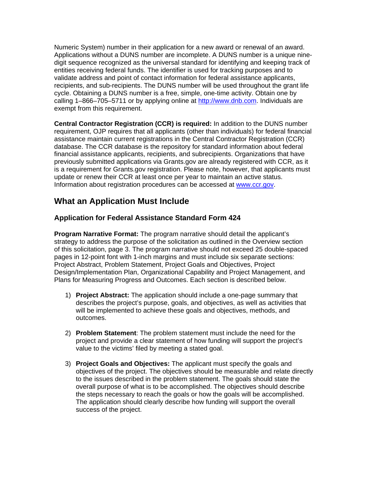Numeric System) number in their application for a new award or renewal of an award. Applications without a DUNS number are incomplete. A DUNS number is a unique ninedigit sequence recognized as the universal standard for identifying and keeping track of entities receiving federal funds. The identifier is used for tracking purposes and to validate address and point of contact information for federal assistance applicants, recipients, and sub-recipients. The DUNS number will be used throughout the grant life cycle. Obtaining a DUNS number is a free, simple, one-time activity. Obtain one by calling 1–866–705–5711 or by applying online at http://www.dnb.com. Individuals are exempt from this requirement.

**Central Contractor Registration (CCR) is required:** In addition to the DUNS number requirement, OJP requires that all applicants (other than individuals) for federal financial assistance maintain current registrations in the Central Contractor Registration (CCR) database. The CCR database is the repository for standard information about federal financial assistance applicants, recipients, and subrecipients. Organizations that have previously submitted applications via Grants.gov are already registered with CCR, as it is a requirement for Grants.gov registration. Please note, however, that applicants must update or renew their CCR at least once per year to maintain an active status. Information about registration procedures can be accessed at www.ccr.gov.

## **What an Application Must Include**

### **Application for Federal Assistance Standard Form 424**

**Program Narrative Format:** The program narrative should detail the applicant's strategy to address the purpose of the solicitation as outlined in the Overview section of this solicitation, page 3. The program narrative should not exceed 25 double-spaced pages in 12-point font with 1-inch margins and must include six separate sections: Project Abstract, Problem Statement, Project Goals and Objectives, Project Design/Implementation Plan, Organizational Capability and Project Management, and Plans for Measuring Progress and Outcomes. Each section is described below.

- 1) **Project Abstract:** The application should include a one-page summary that describes the project's purpose, goals, and objectives, as well as activities that will be implemented to achieve these goals and objectives, methods, and outcomes.
- 2) **Problem Statement**: The problem statement must include the need for the project and provide a clear statement of how funding will support the project's value to the victims' filed by meeting a stated goal.
- 3) **Project Goals and Objectives:** The applicant must specify the goals and objectives of the project. The objectives should be measurable and relate directly to the issues described in the problem statement. The goals should state the overall purpose of what is to be accomplished. The objectives should describe the steps necessary to reach the goals or how the goals will be accomplished. The application should clearly describe how funding will support the overall success of the project.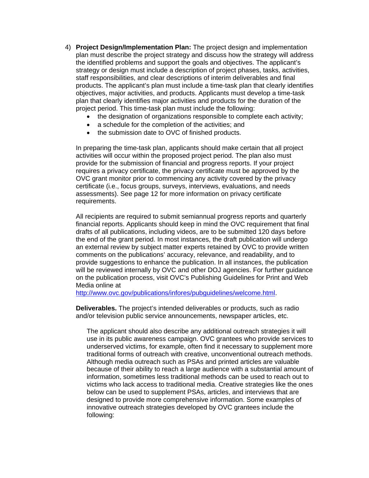- 4) **Project Design/Implementation Plan:** The project design and implementation plan must describe the project strategy and discuss how the strategy will address the identified problems and support the goals and objectives. The applicant's strategy or design must include a description of project phases, tasks, activities, staff responsibilities, and clear descriptions of interim deliverables and final products. The applicant's plan must include a time-task plan that clearly identifies objectives, major activities, and products. Applicants must develop a time-task plan that clearly identifies major activities and products for the duration of the project period. This time-task plan must include the following:
	- the designation of organizations responsible to complete each activity;
	- a schedule for the completion of the activities: and
	- the submission date to OVC of finished products.

In preparing the time-task plan, applicants should make certain that all project activities will occur within the proposed project period. The plan also must provide for the submission of financial and progress reports. If your project requires a privacy certificate, the privacy certificate must be approved by the OVC grant monitor prior to commencing any activity covered by the privacy certificate (i.e., focus groups, surveys, interviews, evaluations, and needs assessments). See page 12 for more information on privacy certificate requirements.

All recipients are required to submit semiannual progress reports and quarterly financial reports. Applicants should keep in mind the OVC requirement that final drafts of all publications, including videos, are to be submitted 120 days before the end of the grant period. In most instances, the draft publication will undergo an external review by subject matter experts retained by OVC to provide written comments on the publications' accuracy, relevance, and readability, and to provide suggestions to enhance the publication. In all instances, the publication will be reviewed internally by OVC and other DOJ agencies. For further guidance on the publication process, visit OVC's Publishing Guidelines for Print and Web Media online at

http://www.ovc.gov/publications/infores/pubguidelines/welcome.html.

**Deliverables.** The project's intended deliverables or products, such as radio and/or television public service announcements, newspaper articles, etc.

The applicant should also describe any additional outreach strategies it will use in its public awareness campaign. OVC grantees who provide services to underserved victims, for example, often find it necessary to supplement more traditional forms of outreach with creative, unconventional outreach methods. Although media outreach such as PSAs and printed articles are valuable because of their ability to reach a large audience with a substantial amount of information, sometimes less traditional methods can be used to reach out to victims who lack access to traditional media. Creative strategies like the ones below can be used to supplement PSAs, articles, and interviews that are designed to provide more comprehensive information. Some examples of innovative outreach strategies developed by OVC grantees include the following: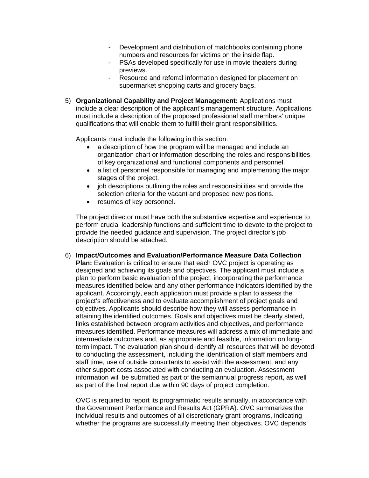- Development and distribution of matchbooks containing phone numbers and resources for victims on the inside flap.
- PSAs developed specifically for use in movie theaters during previews.
- Resource and referral information designed for placement on supermarket shopping carts and grocery bags.
- 5) **Organizational Capability and Project Management:** Applications must include a clear description of the applicant's management structure. Applications must include a description of the proposed professional staff members' unique qualifications that will enable them to fulfill their grant responsibilities.

Applicants must include the following in this section:

- a description of how the program will be managed and include an organization chart or information describing the roles and responsibilities of key organizational and functional components and personnel.
- a list of personnel responsible for managing and implementing the major stages of the project.
- job descriptions outlining the roles and responsibilities and provide the selection criteria for the vacant and proposed new positions.
- resumes of key personnel.

The project director must have both the substantive expertise and experience to perform crucial leadership functions and sufficient time to devote to the project to provide the needed guidance and supervision. The project director's job description should be attached.

6) **Impact/Outcomes and Evaluation/Performance Measure Data Collection Plan:** Evaluation is critical to ensure that each OVC project is operating as designed and achieving its goals and objectives. The applicant must include a plan to perform basic evaluation of the project, incorporating the performance measures identified below and any other performance indicators identified by the applicant. Accordingly, each application must provide a plan to assess the project's effectiveness and to evaluate accomplishment of project goals and objectives. Applicants should describe how they will assess performance in attaining the identified outcomes. Goals and objectives must be clearly stated, links established between program activities and objectives, and performance measures identified. Performance measures will address a mix of immediate and intermediate outcomes and, as appropriate and feasible, information on longterm impact. The evaluation plan should identify all resources that will be devoted to conducting the assessment, including the identification of staff members and staff time, use of outside consultants to assist with the assessment, and any other support costs associated with conducting an evaluation. Assessment information will be submitted as part of the semiannual progress report, as well as part of the final report due within 90 days of project completion.

OVC is required to report its programmatic results annually, in accordance with the Government Performance and Results Act (GPRA). OVC summarizes the individual results and outcomes of all discretionary grant programs, indicating whether the programs are successfully meeting their objectives. OVC depends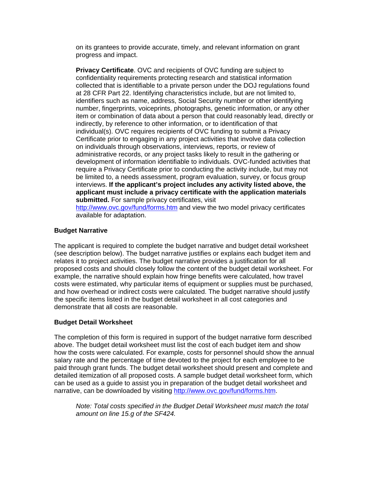on its grantees to provide accurate, timely, and relevant information on grant progress and impact.

**Privacy Certificate**. OVC and recipients of OVC funding are subject to confidentiality requirements protecting research and statistical information collected that is identifiable to a private person under the DOJ regulations found at 28 CFR Part 22. Identifying characteristics include, but are not limited to, identifiers such as name, address, Social Security number or other identifying number, fingerprints, voiceprints, photographs, genetic information, or any other item or combination of data about a person that could reasonably lead, directly or indirectly, by reference to other information, or to identification of that individual(s). OVC requires recipients of OVC funding to submit a Privacy Certificate prior to engaging in any project activities that involve data collection on individuals through observations, interviews, reports, or review of administrative records, or any project tasks likely to result in the gathering or development of information identifiable to individuals. OVC-funded activities that require a Privacy Certificate prior to conducting the activity include, but may not be limited to, a needs assessment, program evaluation, survey, or focus group interviews. **If the applicant's project includes any activity listed above, the applicant must include a privacy certificate with the application materials submitted.** For sample privacy certificates, visit

http://www.ovc.gov/fund/forms.htm and view the two model privacy certificates available for adaptation.

#### **Budget Narrative**

The applicant is required to complete the budget narrative and budget detail worksheet (see description below). The budget narrative justifies or explains each budget item and relates it to project activities. The budget narrative provides a justification for all proposed costs and should closely follow the content of the budget detail worksheet. For example, the narrative should explain how fringe benefits were calculated, how travel costs were estimated, why particular items of equipment or supplies must be purchased, and how overhead or indirect costs were calculated. The budget narrative should justify the specific items listed in the budget detail worksheet in all cost categories and demonstrate that all costs are reasonable.

#### **Budget Detail Worksheet**

The completion of this form is required in support of the budget narrative form described above. The budget detail worksheet must list the cost of each budget item and show how the costs were calculated. For example, costs for personnel should show the annual salary rate and the percentage of time devoted to the project for each employee to be paid through grant funds. The budget detail worksheet should present and complete and detailed itemization of all proposed costs. A sample budget detail worksheet form, which can be used as a guide to assist you in preparation of the budget detail worksheet and narrative, can be downloaded by visiting http://www.ovc.gov/fund/forms.htm.

*Note: Total costs specified in the Budget Detail Worksheet must match the total amount on line 15.g of the SF424.*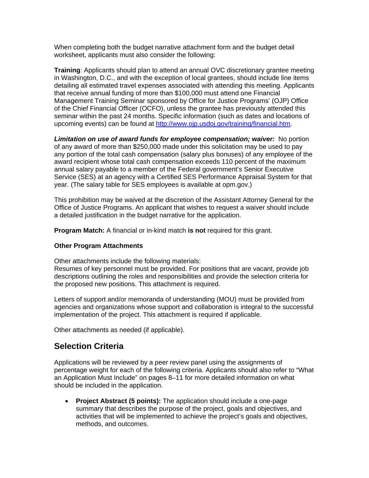When completing both the budget narrative attachment form and the budget detail worksheet, applicants must also consider the following:

**Training**: Applicants should plan to attend an annual OVC discretionary grantee meeting in Washington, D.C., and with the exception of local grantees, should include line items detailing all estimated travel expenses associated with attending this meeting. Applicants that receive annual funding of more than \$100,000 must attend one Financial Management Training Seminar sponsored by Office for Justice Programs' (OJP) Office of the Chief Financial Officer (OCFO), unless the grantee has previously attended this seminar within the past 24 months. Specific information (such as dates and locations of upcoming events) can be found at http://www.ojp.usdoj.gov/training/financial.htm.

*Limitation on use of award funds for employee compensation; waiver:* No portion of any award of more than \$250,000 made under this solicitation may be used to pay any portion of the total cash compensation (salary plus bonuses) of any employee of the award recipient whose total cash compensation exceeds 110 percent of the maximum annual salary payable to a member of the Federal government's Senior Executive Service (SES) at an agency with a Certified SES Performance Appraisal System for that year. (The salary table for SES employees is available at opm.gov.)

This prohibition may be waived at the discretion of the Assistant Attorney General for the Office of Justice Programs. An applicant that wishes to request a waiver should include a detailed justification in the budget narrative for the application.

**Program Match:** A financial or in-kind match **is not** required for this grant.

#### **Other Program Attachments**

Other attachments include the following materials:

Resumes of key personnel must be provided. For positions that are vacant, provide job descriptions outlining the roles and responsibilities and provide the selection criteria for the proposed new positions. This attachment is required.

Letters of support and/or memoranda of understanding (MOU) must be provided from agencies and organizations whose support and collaboration is integral to the successful implementation of the project. This attachment is required if applicable.

Other attachments as needed (if applicable).

### **Selection Criteria**

Applications will be reviewed by a peer review panel using the assignments of percentage weight for each of the following criteria. Applicants should also refer to "What an Application Must Include" on pages 8–11 for more detailed information on what should be included in the application.

• **Project Abstract (5 points):** The application should include a one-page summary that describes the purpose of the project, goals and objectives, and activities that will be implemented to achieve the project's goals and objectives, methods, and outcomes.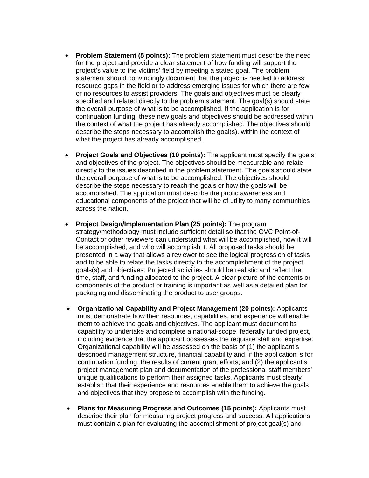- **Problem Statement (5 points):** The problem statement must describe the need for the project and provide a clear statement of how funding will support the project's value to the victims' field by meeting a stated goal. The problem statement should convincingly document that the project is needed to address resource gaps in the field or to address emerging issues for which there are few or no resources to assist providers. The goals and objectives must be clearly specified and related directly to the problem statement. The goal(s) should state the overall purpose of what is to be accomplished. If the application is for continuation funding, these new goals and objectives should be addressed within the context of what the project has already accomplished. The objectives should describe the steps necessary to accomplish the goal(s), within the context of what the project has already accomplished.
- **Project Goals and Objectives (10 points):** The applicant must specify the goals and objectives of the project. The objectives should be measurable and relate directly to the issues described in the problem statement. The goals should state the overall purpose of what is to be accomplished. The objectives should describe the steps necessary to reach the goals or how the goals will be accomplished. The application must describe the public awareness and educational components of the project that will be of utility to many communities across the nation.
- **Project Design/Implementation Plan (25 points):** The program strategy/methodology must include sufficient detail so that the OVC Point-of-Contact or other reviewers can understand what will be accomplished, how it will be accomplished, and who will accomplish it. All proposed tasks should be presented in a way that allows a reviewer to see the logical progression of tasks and to be able to relate the tasks directly to the accomplishment of the project goals(s) and objectives. Projected activities should be realistic and reflect the time, staff, and funding allocated to the project. A clear picture of the contents or components of the product or training is important as well as a detailed plan for packaging and disseminating the product to user groups.
- **Organizational Capability and Project Management (20 points):** Applicants must demonstrate how their resources, capabilities, and experience will enable them to achieve the goals and objectives. The applicant must document its capability to undertake and complete a national-scope, federally funded project, including evidence that the applicant possesses the requisite staff and expertise. Organizational capability will be assessed on the basis of (1) the applicant's described management structure, financial capability and, if the application is for continuation funding, the results of current grant efforts; and (2) the applicant's project management plan and documentation of the professional staff members' unique qualifications to perform their assigned tasks. Applicants must clearly establish that their experience and resources enable them to achieve the goals and objectives that they propose to accomplish with the funding.
- **Plans for Measuring Progress and Outcomes (15 points):** Applicants must describe their plan for measuring project progress and success. All applications must contain a plan for evaluating the accomplishment of project goal(s) and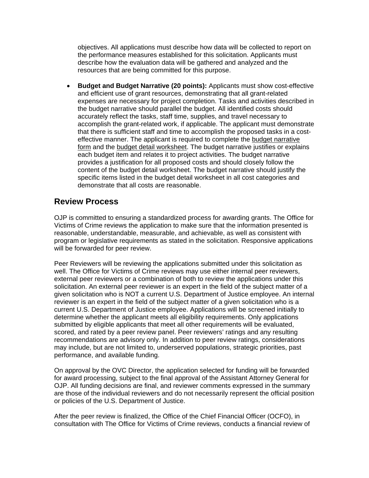objectives. All applications must describe how data will be collected to report on the performance measures established for this solicitation. Applicants must describe how the evaluation data will be gathered and analyzed and the resources that are being committed for this purpose.

• **Budget and Budget Narrative (20 points):** Applicants must show cost-effective and efficient use of grant resources, demonstrating that all grant-related expenses are necessary for project completion. Tasks and activities described in the budget narrative should parallel the budget. All identified costs should accurately reflect the tasks, staff time, supplies, and travel necessary to accomplish the grant-related work, if applicable. The applicant must demonstrate that there is sufficient staff and time to accomplish the proposed tasks in a costeffective manner. The applicant is required to complete the budget narrative form and the budget detail worksheet. The budget narrative justifies or explains each budget item and relates it to project activities. The budget narrative provides a justification for all proposed costs and should closely follow the content of the budget detail worksheet. The budget narrative should justify the specific items listed in the budget detail worksheet in all cost categories and demonstrate that all costs are reasonable.

## **Review Process**

OJP is committed to ensuring a standardized process for awarding grants. The Office for Victims of Crime reviews the application to make sure that the information presented is reasonable, understandable, measurable, and achievable, as well as consistent with program or legislative requirements as stated in the solicitation. Responsive applications will be forwarded for peer review.

Peer Reviewers will be reviewing the applications submitted under this solicitation as well. The Office for Victims of Crime reviews may use either internal peer reviewers, external peer reviewers or a combination of both to review the applications under this solicitation. An external peer reviewer is an expert in the field of the subject matter of a given solicitation who is NOT a current U.S. Department of Justice employee. An internal reviewer is an expert in the field of the subject matter of a given solicitation who is a current U.S. Department of Justice employee. Applications will be screened initially to determine whether the applicant meets all eligibility requirements. Only applications submitted by eligible applicants that meet all other requirements will be evaluated, scored, and rated by a peer review panel. Peer reviewers' ratings and any resulting recommendations are advisory only. In addition to peer review ratings, considerations may include, but are not limited to, underserved populations, strategic priorities, past performance, and available funding.

On approval by the OVC Director, the application selected for funding will be forwarded for award processing, subject to the final approval of the Assistant Attorney General for OJP. All funding decisions are final, and reviewer comments expressed in the summary are those of the individual reviewers and do not necessarily represent the official position or policies of the U.S. Department of Justice.

After the peer review is finalized, the Office of the Chief Financial Officer (OCFO), in consultation with The Office for Victims of Crime reviews, conducts a financial review of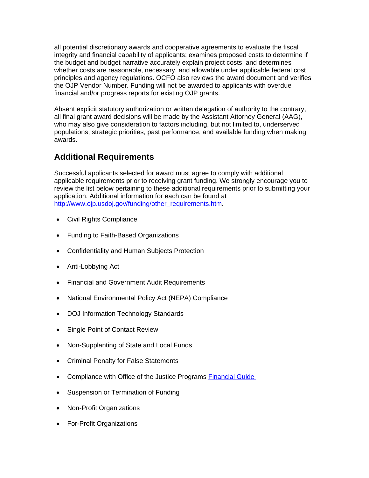all potential discretionary awards and cooperative agreements to evaluate the fiscal integrity and financial capability of applicants; examines proposed costs to determine if the budget and budget narrative accurately explain project costs; and determines whether costs are reasonable, necessary, and allowable under applicable federal cost principles and agency regulations. OCFO also reviews the award document and verifies the OJP Vendor Number. Funding will not be awarded to applicants with overdue financial and/or progress reports for existing OJP grants.

Absent explicit statutory authorization or written delegation of authority to the contrary, all final grant award decisions will be made by the Assistant Attorney General (AAG), who may also give consideration to factors including, but not limited to, underserved populations, strategic priorities, past performance, and available funding when making awards.

# **Additional Requirements**

Successful applicants selected for award must agree to comply with additional applicable requirements prior to receiving grant funding. We strongly encourage you to review the list below pertaining to these additional requirements prior to submitting your application. Additional information for each can be found at http://www.ojp.usdoj.gov/funding/other\_requirements.htm.

- Civil Rights Compliance
- Funding to Faith-Based Organizations
- Confidentiality and Human Subjects Protection
- Anti-Lobbying Act
- Financial and Government Audit Requirements
- National Environmental Policy Act (NEPA) Compliance
- DOJ Information Technology Standards
- Single Point of Contact Review
- Non-Supplanting of State and Local Funds
- Criminal Penalty for False Statements
- Compliance with Office of the Justice Programs Financial Guide
- Suspension or Termination of Funding
- Non-Profit Organizations
- For-Profit Organizations